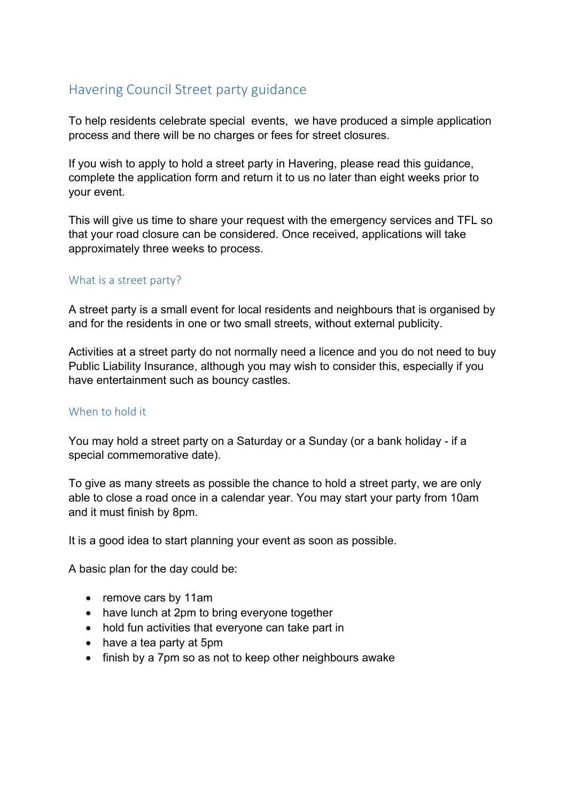# Havering Council Street party guidance

To help residents celebrate special events, we have produced a simple application process and there will be no charges or fees for street closures.

If you wish to apply to hold a street party in Havering, please read this guidance, complete the application form and return it to us no later than eight weeks prior to your event.

This will give us time to share your request with the emergency services and TFL so that your road closure can be considered. Once received, applications will take approximately three weeks to process.

#### What is a street party?

A street party is a small event for local residents and neighbours that is organised by and for the residents in one or two small streets, without external publicity.

Activities at a street party do not normally need a licence and you do not need to buy Public Liability Insurance, although you may wish to consider this, especially if you have entertainment such as bouncy castles.

## When to hold it

You may hold a street party on a Saturday or a Sunday (or a bank holiday - if a special commemorative date).

To give as many streets as possible the chance to hold a street party, we are only able to close a road once in a calendar year. You may start your party from 10am and it must finish by 8pm.

It is a good idea to start planning your event as soon as possible.

A basic plan for the day could be:

- remove cars by 11am
- have lunch at 2pm to bring everyone together
- hold fun activities that everyone can take part in
- have a tea party at 5pm
- finish by a 7pm so as not to keep other neighbours awake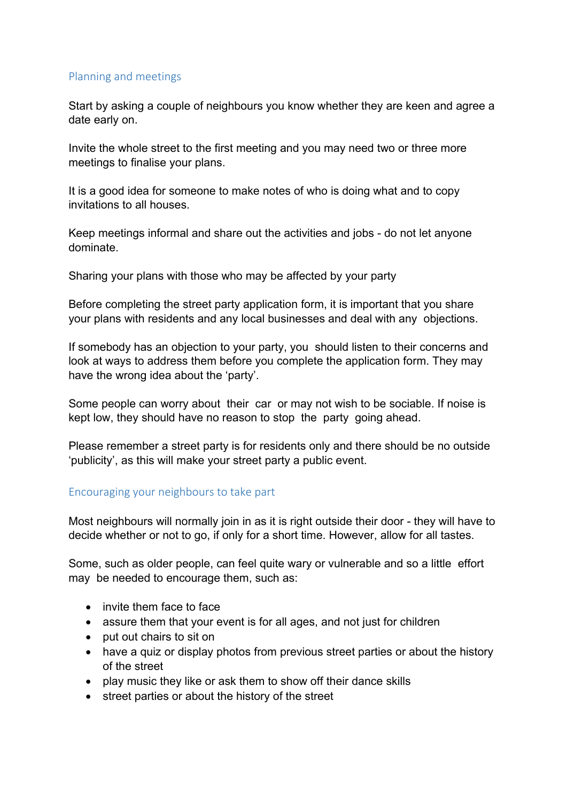## Planning and meetings

Start by asking a couple of neighbours you know whether they are keen and agree a date early on.

Invite the whole street to the first meeting and you may need two or three more meetings to finalise your plans.

It is a good idea for someone to make notes of who is doing what and to copy invitations to all houses.

Keep meetings informal and share out the activities and jobs - do not let anyone dominate.

Sharing your plans with those who may be affected by your party

Before completing the street party application form, it is important that you share your plans with residents and any local businesses and deal with any objections.

If somebody has an objection to your party, you should listen to their concerns and look at ways to address them before you complete the application form. They may have the wrong idea about the 'party'.

Some people can worry about their car or may not wish to be sociable. If noise is kept low, they should have no reason to stop the party going ahead.

Please remember a street party is for residents only and there should be no outside 'publicity', as this will make your street party a public event.

# Encouraging your neighbours to take part

Most neighbours will normally join in as it is right outside their door - they will have to decide whether or not to go, if only for a short time. However, allow for all tastes.

Some, such as older people, can feel quite wary or vulnerable and so a little effort may be needed to encourage them, such as:

- invite them face to face
- assure them that your event is for all ages, and not just for children
- put out chairs to sit on
- have a quiz or display photos from previous street parties or about the history of the street
- play music they like or ask them to show off their dance skills
- street parties or about the history of the street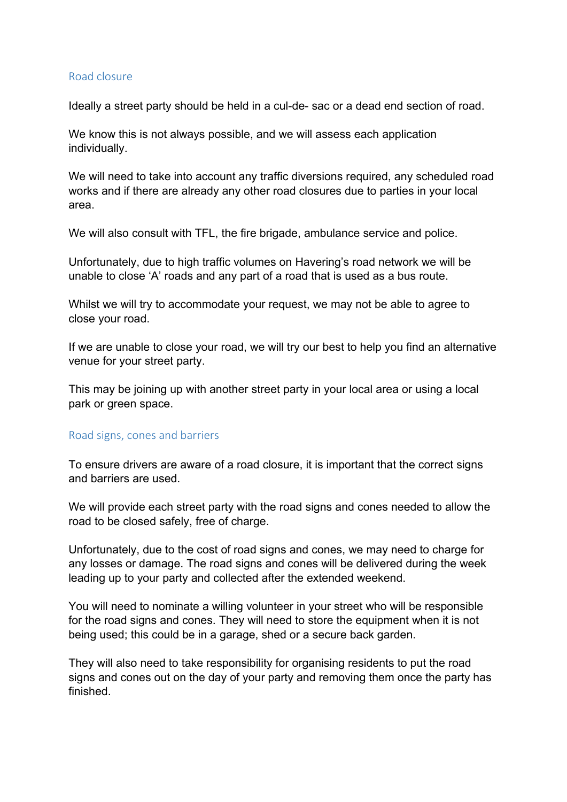### Road closure

Ideally a street party should be held in a cul-de- sac or a dead end section of road.

We know this is not always possible, and we will assess each application individually.

We will need to take into account any traffic diversions required, any scheduled road works and if there are already any other road closures due to parties in your local area.

We will also consult with TFL, the fire brigade, ambulance service and police.

Unfortunately, due to high traffic volumes on Havering's road network we will be unable to close 'A' roads and any part of a road that is used as a bus route.

Whilst we will try to accommodate your request, we may not be able to agree to close your road.

If we are unable to close your road, we will try our best to help you find an alternative venue for your street party.

This may be joining up with another street party in your local area or using a local park or green space.

#### Road signs, cones and barriers

To ensure drivers are aware of a road closure, it is important that the correct signs and barriers are used.

We will provide each street party with the road signs and cones needed to allow the road to be closed safely, free of charge.

Unfortunately, due to the cost of road signs and cones, we may need to charge for any losses or damage. The road signs and cones will be delivered during the week leading up to your party and collected after the extended weekend.

You will need to nominate a willing volunteer in your street who will be responsible for the road signs and cones. They will need to store the equipment when it is not being used; this could be in a garage, shed or a secure back garden.

They will also need to take responsibility for organising residents to put the road signs and cones out on the day of your party and removing them once the party has finished.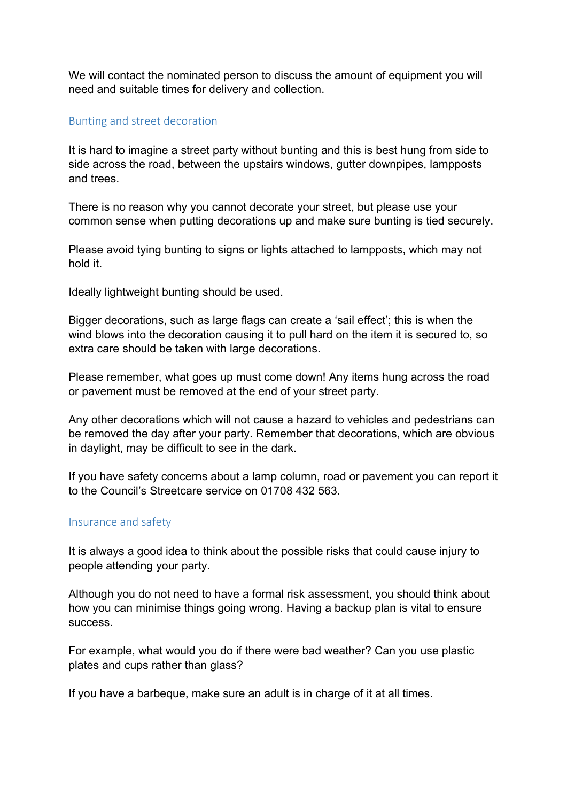We will contact the nominated person to discuss the amount of equipment you will need and suitable times for delivery and collection.

### Bunting and street decoration

It is hard to imagine a street party without bunting and this is best hung from side to side across the road, between the upstairs windows, gutter downpipes, lampposts and trees.

There is no reason why you cannot decorate your street, but please use your common sense when putting decorations up and make sure bunting is tied securely.

Please avoid tying bunting to signs or lights attached to lampposts, which may not hold it.

Ideally lightweight bunting should be used.

Bigger decorations, such as large flags can create a 'sail effect'; this is when the wind blows into the decoration causing it to pull hard on the item it is secured to, so extra care should be taken with large decorations.

Please remember, what goes up must come down! Any items hung across the road or pavement must be removed at the end of your street party.

Any other decorations which will not cause a hazard to vehicles and pedestrians can be removed the day after your party. Remember that decorations, which are obvious in daylight, may be difficult to see in the dark.

If you have safety concerns about a lamp column, road or pavement you can report it to the Council's Streetcare service on 01708 432 563.

#### Insurance and safety

It is always a good idea to think about the possible risks that could cause injury to people attending your party.

Although you do not need to have a formal risk assessment, you should think about how you can minimise things going wrong. Having a backup plan is vital to ensure success.

For example, what would you do if there were bad weather? Can you use plastic plates and cups rather than glass?

If you have a barbeque, make sure an adult is in charge of it at all times.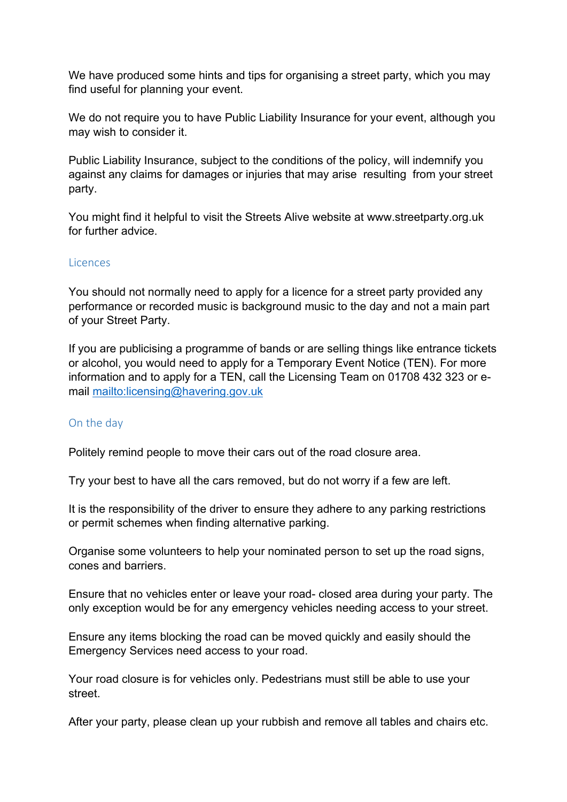We have produced some hints and tips for organising a street party, which you may find useful for planning your event.

We do not require you to have Public Liability Insurance for your event, although you may wish to consider it.

Public Liability Insurance, subject to the conditions of the policy, will indemnify you against any claims for damages or injuries that may arise resulting from your street party.

You might find it helpful to visit the Streets Alive website at www.streetparty.org.uk for further advice.

## Licences

You should not normally need to apply for a licence for a street party provided any performance or recorded music is background music to the day and not a main part of your Street Party.

If you are publicising a programme of bands or are selling things like entrance tickets or alcohol, you would need to apply for a Temporary Event Notice (TEN). For more information and to apply for a TEN, call the Licensing Team on 01708 432 323 or email<mailto:licensing@havering.gov.uk>

## On the day

Politely remind people to move their cars out of the road closure area.

Try your best to have all the cars removed, but do not worry if a few are left.

It is the responsibility of the driver to ensure they adhere to any parking restrictions or permit schemes when finding alternative parking.

Organise some volunteers to help your nominated person to set up the road signs, cones and barriers.

Ensure that no vehicles enter or leave your road- closed area during your party. The only exception would be for any emergency vehicles needing access to your street.

Ensure any items blocking the road can be moved quickly and easily should the Emergency Services need access to your road.

Your road closure is for vehicles only. Pedestrians must still be able to use your street.

After your party, please clean up your rubbish and remove all tables and chairs etc.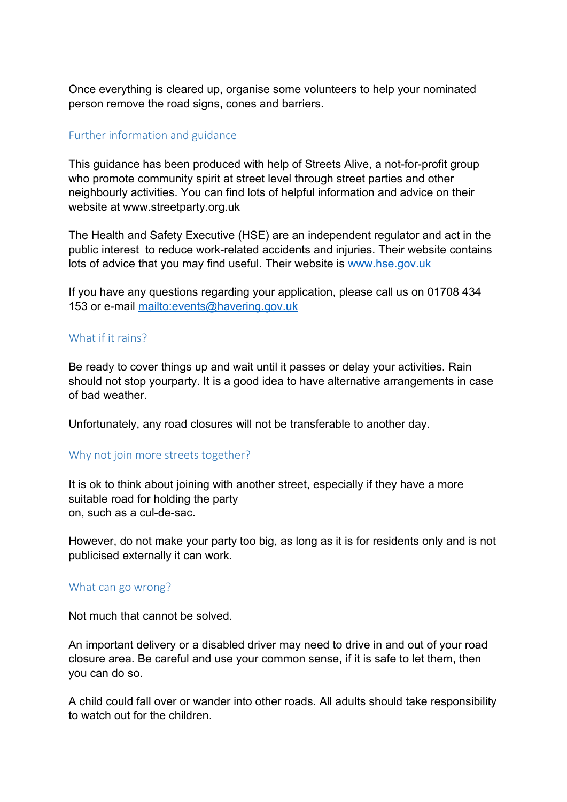Once everything is cleared up, organise some volunteers to help your nominated person remove the road signs, cones and barriers.

## Further information and guidance

This guidance has been produced with help of Streets Alive, a not-for-profit group who promote community spirit at street level through street parties and other neighbourly activities. You can find lots of helpful information and advice on their website at www.streetparty.org.uk

The Health and Safety Executive (HSE) are an independent regulator and act in the public interest to reduce work-related accidents and injuries. Their website contains lots of advice that you may find useful. Their website is [www.hse.gov.uk](http://www.hse.gov.uk/)

If you have any questions regarding your application, please call us on 01708 434 153 or e-mail<mailto:events@havering.gov.uk>

#### What if it rains?

Be ready to cover things up and wait until it passes or delay your activities. Rain should not stop yourparty. It is a good idea to have alternative arrangements in case of bad weather.

Unfortunately, any road closures will not be transferable to another day.

## Why not join more streets together?

It is ok to think about joining with another street, especially if they have a more suitable road for holding the party on, such as a cul-de-sac.

However, do not make your party too big, as long as it is for residents only and is not publicised externally it can work.

#### What can go wrong?

Not much that cannot be solved.

An important delivery or a disabled driver may need to drive in and out of your road closure area. Be careful and use your common sense, if it is safe to let them, then you can do so.

A child could fall over or wander into other roads. All adults should take responsibility to watch out for the children.